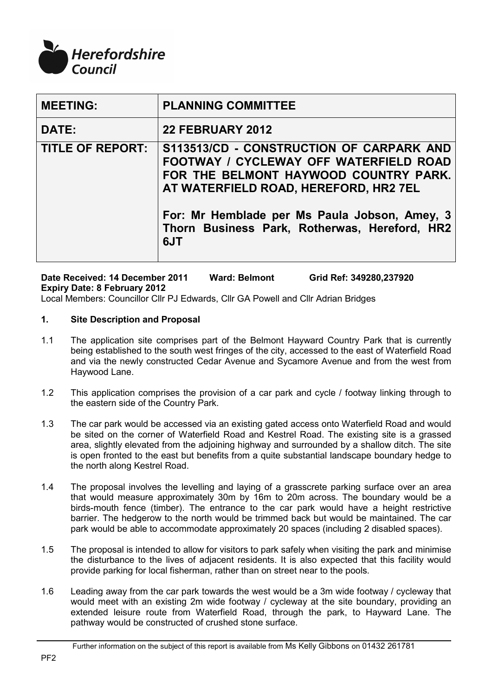

| <b>MEETING:</b>         | <b>PLANNING COMMITTEE</b>                                                                                                                                                                                                                                                            |
|-------------------------|--------------------------------------------------------------------------------------------------------------------------------------------------------------------------------------------------------------------------------------------------------------------------------------|
| <b>DATE:</b>            | <b>22 FEBRUARY 2012</b>                                                                                                                                                                                                                                                              |
| <b>TITLE OF REPORT:</b> | S113513/CD - CONSTRUCTION OF CARPARK AND<br><b>FOOTWAY / CYCLEWAY OFF WATERFIELD ROAD</b><br>FOR THE BELMONT HAYWOOD COUNTRY PARK.<br>AT WATERFIELD ROAD, HEREFORD, HR2 7EL<br>For: Mr Hemblade per Ms Paula Jobson, Amey, 3<br>Thorn Business Park, Rotherwas, Hereford, HR2<br>6JT |

**Date Received: 14 December 2011 Ward: Belmont Grid Ref: 349280,237920 Expiry Date: 8 February 2012** Local Members: Councillor Cllr PJ Edwards, Cllr GA Powell and Cllr Adrian Bridges

# **1. Site Description and Proposal**

- 1.1 The application site comprises part of the Belmont Hayward Country Park that is currently being established to the south west fringes of the city, accessed to the east of Waterfield Road and via the newly constructed Cedar Avenue and Sycamore Avenue and from the west from Haywood Lane.
- 1.2 This application comprises the provision of a car park and cycle / footway linking through to the eastern side of the Country Park.
- 1.3 The car park would be accessed via an existing gated access onto Waterfield Road and would be sited on the corner of Waterfield Road and Kestrel Road. The existing site is a grassed area, slightly elevated from the adjoining highway and surrounded by a shallow ditch. The site is open fronted to the east but benefits from a quite substantial landscape boundary hedge to the north along Kestrel Road.
- 1.4 The proposal involves the levelling and laying of a grasscrete parking surface over an area that would measure approximately 30m by 16m to 20m across. The boundary would be a birds-mouth fence (timber). The entrance to the car park would have a height restrictive barrier. The hedgerow to the north would be trimmed back but would be maintained. The car park would be able to accommodate approximately 20 spaces (including 2 disabled spaces).
- 1.5 The proposal is intended to allow for visitors to park safely when visiting the park and minimise the disturbance to the lives of adjacent residents. It is also expected that this facility would provide parking for local fisherman, rather than on street near to the pools.
- 1.6 Leading away from the car park towards the west would be a 3m wide footway / cycleway that would meet with an existing 2m wide footway / cycleway at the site boundary, providing an extended leisure route from Waterfield Road, through the park, to Hayward Lane. The pathway would be constructed of crushed stone surface.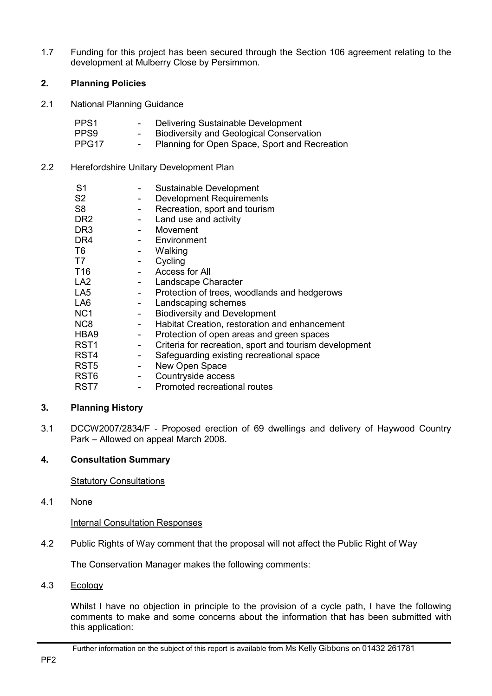1.7 Funding for this project has been secured through the Section 106 agreement relating to the development at Mulberry Close by Persimmon.

# **2. Planning Policies**

2.1 National Planning Guidance

| PPS1  | $\sim$   | Delivering Sustainable Development              |
|-------|----------|-------------------------------------------------|
| PPS9  | $\sim$ . | <b>Biodiversity and Geological Conservation</b> |
| PPG17 | $\sim$   | Planning for Open Space, Sport and Recreation   |

2.2 Herefordshire Unitary Development Plan

| S1               |                          | Sustainable Development                                |
|------------------|--------------------------|--------------------------------------------------------|
| S <sub>2</sub>   | -                        | <b>Development Requirements</b>                        |
| S <sub>8</sub>   |                          | Recreation, sport and tourism                          |
| DR <sub>2</sub>  |                          | Land use and activity                                  |
| DR <sub>3</sub>  |                          | Movement                                               |
| DR <sub>4</sub>  |                          | - Environment                                          |
| T6               |                          | Walking                                                |
| T7               | $\overline{\phantom{a}}$ | Cycling                                                |
| T <sub>16</sub>  |                          | Access for All                                         |
| LA <sub>2</sub>  |                          | Landscape Character                                    |
| LA <sub>5</sub>  |                          | Protection of trees, woodlands and hedgerows           |
| LA <sub>6</sub>  | $\sim$ 10 $\pm$          | Landscaping schemes                                    |
| NC <sub>1</sub>  | $\blacksquare$           | <b>Biodiversity and Development</b>                    |
| N <sub>C</sub> 8 |                          | Habitat Creation, restoration and enhancement          |
| HBA9             | $\sim 100$               | Protection of open areas and green spaces              |
| RST <sub>1</sub> | ÷,                       | Criteria for recreation, sport and tourism development |
| RST <sub>4</sub> | ÷,                       | Safeguarding existing recreational space               |
| RST <sub>5</sub> | $\overline{\phantom{a}}$ | New Open Space                                         |
| RST <sub>6</sub> | $\sim$ $-$               | Countryside access                                     |
| RST7             |                          | Promoted recreational routes                           |

# **3. Planning History**

3.1 DCCW2007/2834/F - Proposed erection of 69 dwellings and delivery of Haywood Country Park – Allowed on appeal March 2008.

# **4. Consultation Summary**

Statutory Consultations

4.1 None

Internal Consultation Responses

4.2 Public Rights of Way comment that the proposal will not affect the Public Right of Way

The Conservation Manager makes the following comments:

4.3 Ecology

Whilst I have no objection in principle to the provision of a cycle path, I have the following comments to make and some concerns about the information that has been submitted with this application: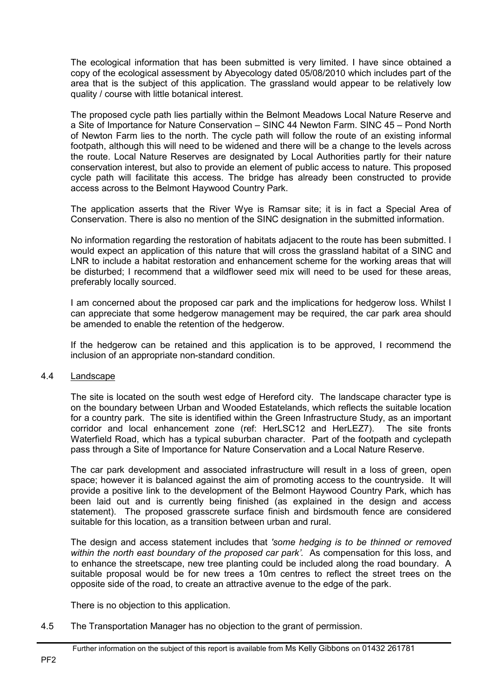The ecological information that has been submitted is very limited. I have since obtained a copy of the ecological assessment by Abyecology dated 05/08/2010 which includes part of the area that is the subject of this application. The grassland would appear to be relatively low quality / course with little botanical interest.

The proposed cycle path lies partially within the Belmont Meadows Local Nature Reserve and a Site of Importance for Nature Conservation – SINC 44 Newton Farm. SINC 45 – Pond North of Newton Farm lies to the north. The cycle path will follow the route of an existing informal footpath, although this will need to be widened and there will be a change to the levels across the route. Local Nature Reserves are designated by Local Authorities partly for their nature conservation interest, but also to provide an element of public access to nature. This proposed cycle path will facilitate this access. The bridge has already been constructed to provide access across to the Belmont Haywood Country Park.

The application asserts that the River Wye is Ramsar site; it is in fact a Special Area of Conservation. There is also no mention of the SINC designation in the submitted information.

No information regarding the restoration of habitats adjacent to the route has been submitted. I would expect an application of this nature that will cross the grassland habitat of a SINC and LNR to include a habitat restoration and enhancement scheme for the working areas that will be disturbed; I recommend that a wildflower seed mix will need to be used for these areas, preferably locally sourced.

I am concerned about the proposed car park and the implications for hedgerow loss. Whilst I can appreciate that some hedgerow management may be required, the car park area should be amended to enable the retention of the hedgerow.

If the hedgerow can be retained and this application is to be approved, I recommend the inclusion of an appropriate non-standard condition.

#### 4.4 Landscape

The site is located on the south west edge of Hereford city. The landscape character type is on the boundary between Urban and Wooded Estatelands, which reflects the suitable location for a country park. The site is identified within the Green Infrastructure Study, as an important corridor and local enhancement zone (ref: HerLSC12 and HerLEZ7). The site fronts Waterfield Road, which has a typical suburban character. Part of the footpath and cyclepath pass through a Site of Importance for Nature Conservation and a Local Nature Reserve.

The car park development and associated infrastructure will result in a loss of green, open space; however it is balanced against the aim of promoting access to the countryside. It will provide a positive link to the development of the Belmont Haywood Country Park, which has been laid out and is currently being finished (as explained in the design and access statement). The proposed grasscrete surface finish and birdsmouth fence are considered suitable for this location, as a transition between urban and rural.

The design and access statement includes that *'some hedging is to be thinned or removed*  within the north east boundary of the proposed car park'. As compensation for this loss, and to enhance the streetscape, new tree planting could be included along the road boundary. A suitable proposal would be for new trees a 10m centres to reflect the street trees on the opposite side of the road, to create an attractive avenue to the edge of the park.

There is no objection to this application.

4.5 The Transportation Manager has no objection to the grant of permission.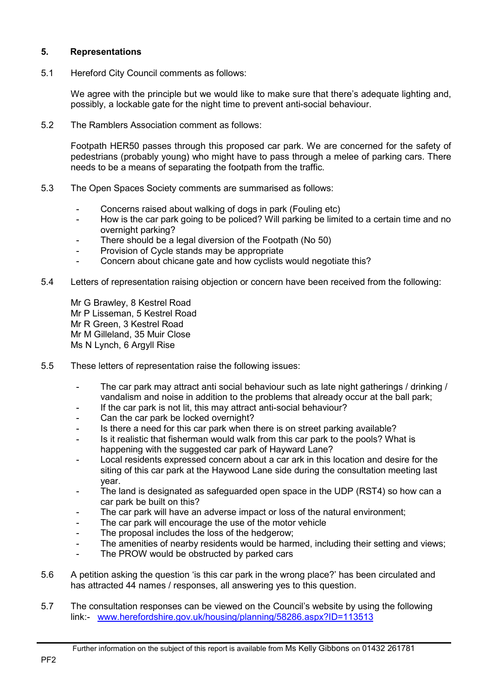### **5. Representations**

5.1 Hereford City Council comments as follows:

We agree with the principle but we would like to make sure that there's adequate lighting and, possibly, a lockable gate for the night time to prevent anti-social behaviour.

5.2 The Ramblers Association comment as follows:

Footpath HER50 passes through this proposed car park. We are concerned for the safety of pedestrians (probably young) who might have to pass through a melee of parking cars. There needs to be a means of separating the footpath from the traffic.

- 5.3 The Open Spaces Society comments are summarised as follows:
	- Concerns raised about walking of dogs in park (Fouling etc)
	- How is the car park going to be policed? Will parking be limited to a certain time and no overnight parking?
	- There should be a legal diversion of the Footpath (No 50)
	- Provision of Cycle stands may be appropriate
	- Concern about chicane gate and how cyclists would negotiate this?
- 5.4 Letters of representation raising objection or concern have been received from the following:

Mr G Brawley, 8 Kestrel Road Mr P Lisseman, 5 Kestrel Road Mr R Green, 3 Kestrel Road Mr M Gilleland, 35 Muir Close Ms N Lynch, 6 Argyll Rise

- 5.5 These letters of representation raise the following issues:
	- The car park may attract anti social behaviour such as late night gatherings / drinking / vandalism and noise in addition to the problems that already occur at the ball park;
	- If the car park is not lit, this may attract anti-social behaviour?
	- Can the car park be locked overnight?
	- Is there a need for this car park when there is on street parking available?
	- Is it realistic that fisherman would walk from this car park to the pools? What is happening with the suggested car park of Hayward Lane?
	- Local residents expressed concern about a car ark in this location and desire for the siting of this car park at the Haywood Lane side during the consultation meeting last year.
	- The land is designated as safeguarded open space in the UDP (RST4) so how can a car park be built on this?
	- The car park will have an adverse impact or loss of the natural environment;
	- The car park will encourage the use of the motor vehicle
	- The proposal includes the loss of the hedgerow;
	- The amenities of nearby residents would be harmed, including their setting and views;
	- The PROW would be obstructed by parked cars
- 5.6 A petition asking the question 'is this car park in the wrong place?' has been circulated and has attracted 44 names / responses, all answering yes to this question.
- 5.7 The consultation responses can be viewed on the Council's website by using the following link:- www.herefordshire.gov.uk/housing/planning/58286.aspx?ID=113513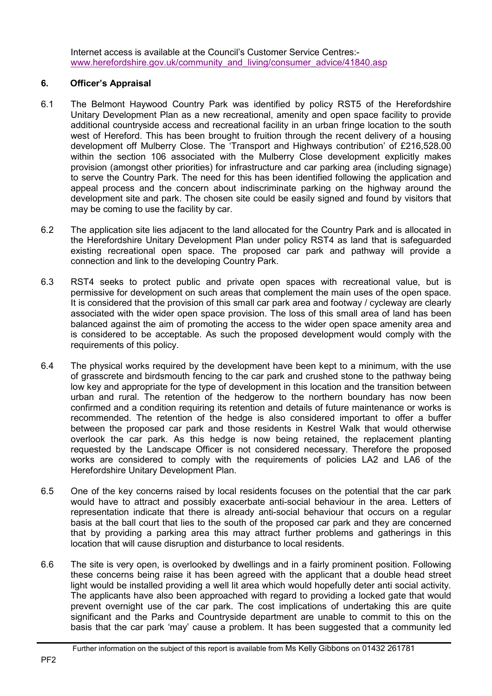Internet access is available at the Council's Customer Service Centres: www.herefordshire.gov.uk/community\_and\_living/consumer\_advice/41840.asp

### **6. Officer's Appraisal**

- 6.1 The Belmont Haywood Country Park was identified by policy RST5 of the Herefordshire Unitary Development Plan as a new recreational, amenity and open space facility to provide additional countryside access and recreational facility in an urban fringe location to the south west of Hereford. This has been brought to fruition through the recent delivery of a housing development off Mulberry Close. The 'Transport and Highways contribution' of £216,528.00 within the section 106 associated with the Mulberry Close development explicitly makes provision (amongst other priorities) for infrastructure and car parking area (including signage) to serve the Country Park. The need for this has been identified following the application and appeal process and the concern about indiscriminate parking on the highway around the development site and park. The chosen site could be easily signed and found by visitors that may be coming to use the facility by car.
- 6.2 The application site lies adjacent to the land allocated for the Country Park and is allocated in the Herefordshire Unitary Development Plan under policy RST4 as land that is safeguarded existing recreational open space. The proposed car park and pathway will provide a connection and link to the developing Country Park.
- 6.3 RST4 seeks to protect public and private open spaces with recreational value, but is permissive for development on such areas that complement the main uses of the open space. It is considered that the provision of this small car park area and footway / cycleway are clearly associated with the wider open space provision. The loss of this small area of land has been balanced against the aim of promoting the access to the wider open space amenity area and is considered to be acceptable. As such the proposed development would comply with the requirements of this policy.
- 6.4 The physical works required by the development have been kept to a minimum, with the use of grasscrete and birdsmouth fencing to the car park and crushed stone to the pathway being low key and appropriate for the type of development in this location and the transition between urban and rural. The retention of the hedgerow to the northern boundary has now been confirmed and a condition requiring its retention and details of future maintenance or works is recommended. The retention of the hedge is also considered important to offer a buffer between the proposed car park and those residents in Kestrel Walk that would otherwise overlook the car park. As this hedge is now being retained, the replacement planting requested by the Landscape Officer is not considered necessary. Therefore the proposed works are considered to comply with the requirements of policies LA2 and LA6 of the Herefordshire Unitary Development Plan.
- 6.5 One of the key concerns raised by local residents focuses on the potential that the car park would have to attract and possibly exacerbate anti-social behaviour in the area. Letters of representation indicate that there is already anti-social behaviour that occurs on a regular basis at the ball court that lies to the south of the proposed car park and they are concerned that by providing a parking area this may attract further problems and gatherings in this location that will cause disruption and disturbance to local residents.
- 6.6 The site is very open, is overlooked by dwellings and in a fairly prominent position. Following these concerns being raise it has been agreed with the applicant that a double head street light would be installed providing a well lit area which would hopefully deter anti social activity. The applicants have also been approached with regard to providing a locked gate that would prevent overnight use of the car park. The cost implications of undertaking this are quite significant and the Parks and Countryside department are unable to commit to this on the basis that the car park 'may' cause a problem. It has been suggested that a community led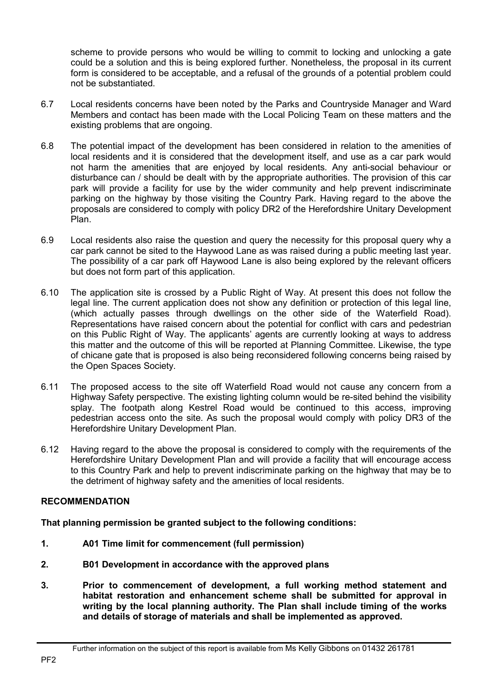scheme to provide persons who would be willing to commit to locking and unlocking a gate could be a solution and this is being explored further. Nonetheless, the proposal in its current form is considered to be acceptable, and a refusal of the grounds of a potential problem could not be substantiated.

- 6.7 Local residents concerns have been noted by the Parks and Countryside Manager and Ward Members and contact has been made with the Local Policing Team on these matters and the existing problems that are ongoing.
- 6.8 The potential impact of the development has been considered in relation to the amenities of local residents and it is considered that the development itself, and use as a car park would not harm the amenities that are enjoyed by local residents. Any anti-social behaviour or disturbance can / should be dealt with by the appropriate authorities. The provision of this car park will provide a facility for use by the wider community and help prevent indiscriminate parking on the highway by those visiting the Country Park. Having regard to the above the proposals are considered to comply with policy DR2 of the Herefordshire Unitary Development Plan.
- 6.9 Local residents also raise the question and query the necessity for this proposal query why a car park cannot be sited to the Haywood Lane as was raised during a public meeting last year. The possibility of a car park off Haywood Lane is also being explored by the relevant officers but does not form part of this application.
- 6.10 The application site is crossed by a Public Right of Way. At present this does not follow the legal line. The current application does not show any definition or protection of this legal line, (which actually passes through dwellings on the other side of the Waterfield Road). Representations have raised concern about the potential for conflict with cars and pedestrian on this Public Right of Way. The applicants' agents are currently looking at ways to address this matter and the outcome of this will be reported at Planning Committee. Likewise, the type of chicane gate that is proposed is also being reconsidered following concerns being raised by the Open Spaces Society.
- 6.11 The proposed access to the site off Waterfield Road would not cause any concern from a Highway Safety perspective. The existing lighting column would be re-sited behind the visibility splay. The footpath along Kestrel Road would be continued to this access, improving pedestrian access onto the site. As such the proposal would comply with policy DR3 of the Herefordshire Unitary Development Plan.
- 6.12 Having regard to the above the proposal is considered to comply with the requirements of the Herefordshire Unitary Development Plan and will provide a facility that will encourage access to this Country Park and help to prevent indiscriminate parking on the highway that may be to the detriment of highway safety and the amenities of local residents.

# **RECOMMENDATION**

**That planning permission be granted subject to the following conditions:** 

- **1. A01 Time limit for commencement (full permission)**
- **2. B01 Development in accordance with the approved plans**
- **3. Prior to commencement of development, a full working method statement and habitat restoration and enhancement scheme shall be submitted for approval in writing by the local planning authority. The Plan shall include timing of the works and details of storage of materials and shall be implemented as approved.**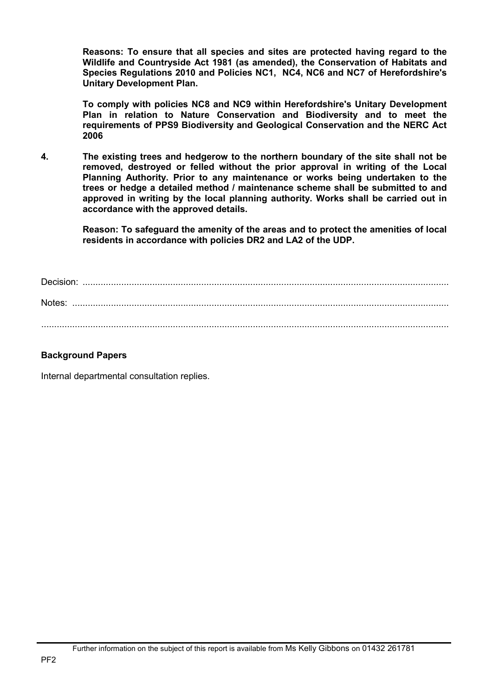**Reasons: To ensure that all species and sites are protected having regard to the Wildlife and Countryside Act 1981 (as amended), the Conservation of Habitats and Species Regulations 2010 and Policies NC1, NC4, NC6 and NC7 of Herefordshire's Unitary Development Plan.** 

**To comply with policies NC8 and NC9 within Herefordshire's Unitary Development Plan in relation to Nature Conservation and Biodiversity and to meet the requirements of PPS9 Biodiversity and Geological Conservation and the NERC Act 2006** 

**4. The existing trees and hedgerow to the northern boundary of the site shall not be removed, destroyed or felled without the prior approval in writing of the Local Planning Authority. Prior to any maintenance or works being undertaken to the trees or hedge a detailed method / maintenance scheme shall be submitted to and approved in writing by the local planning authority. Works shall be carried out in accordance with the approved details.** 

> **Reason: To safeguard the amenity of the areas and to protect the amenities of local residents in accordance with policies DR2 and LA2 of the UDP.**

Decision: .............................................................................................................................................. Notes: .................................................................................................................................................. ..............................................................................................................................................................

# **Background Papers**

Internal departmental consultation replies.